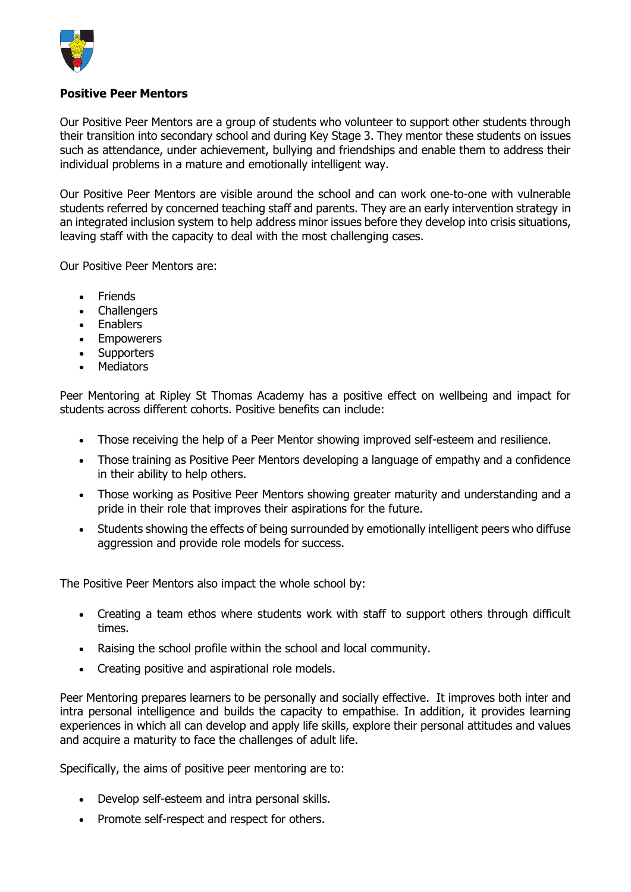

## **Positive Peer Mentors**

Our Positive Peer Mentors are a group of students who volunteer to support other students through their transition into secondary school and during Key Stage 3. They mentor these students on issues such as attendance, under achievement, bullying and friendships and enable them to address their individual problems in a mature and emotionally intelligent way.

Our Positive Peer Mentors are visible around the school and can work one-to-one with vulnerable students referred by concerned teaching staff and parents. They are an early intervention strategy in an integrated inclusion system to help address minor issues before they develop into crisis situations, leaving staff with the capacity to deal with the most challenging cases.

Our Positive Peer Mentors are:

- Friends
- Challengers
- Enablers
- Empowerers
- Supporters
- Mediators

Peer Mentoring at Ripley St Thomas Academy has a positive effect on wellbeing and impact for students across different cohorts. Positive benefits can include:

- Those receiving the help of a Peer Mentor showing improved self-esteem and resilience.
- Those training as Positive Peer Mentors developing a language of empathy and a confidence in their ability to help others.
- Those working as Positive Peer Mentors showing greater maturity and understanding and a pride in their role that improves their aspirations for the future.
- Students showing the effects of being surrounded by emotionally intelligent peers who diffuse aggression and provide role models for success.

The Positive Peer Mentors also impact the whole school by:

- Creating a team ethos where students work with staff to support others through difficult times.
- Raising the school profile within the school and local community.
- Creating positive and aspirational role models.

Peer Mentoring prepares learners to be personally and socially effective. It improves both inter and intra personal intelligence and builds the capacity to empathise. In addition, it provides learning experiences in which all can develop and apply life skills, explore their personal attitudes and values and acquire a maturity to face the challenges of adult life.

Specifically, the aims of positive peer mentoring are to:

- Develop self-esteem and intra personal skills.
- Promote self-respect and respect for others.